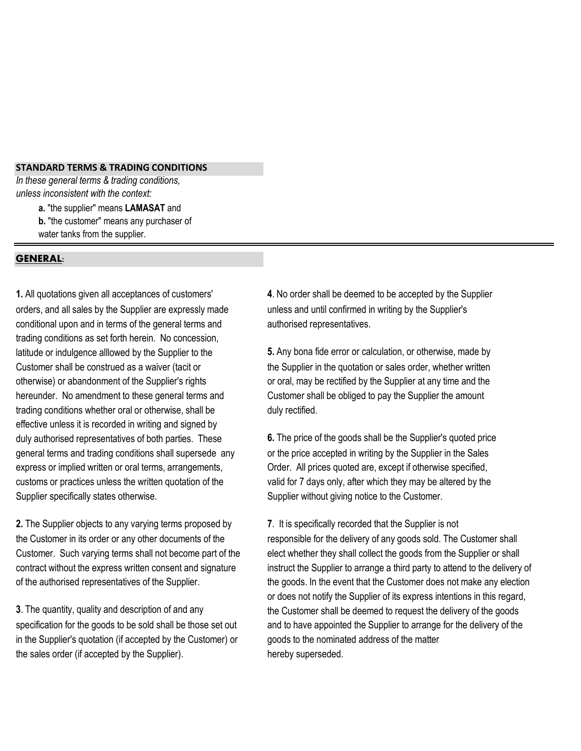## **STANDARD TERMS & TRADING CONDITIONS**

*In these general terms & trading conditions, unless inconsistent with the context:*

 **a.** "the supplier" means **LAMASAT** and

- **b.** "the customer" means any purchaser of
- water tanks from the supplier.

## **GENERAL:**

orders, and all sales by the Supplier are expressly made unless and until confirmed in writing by the Supplier's conditional upon and in terms of the general terms and authorised representatives. trading conditions as set forth herein. No concession, latitude or indulgence alllowed by the Supplier to the **5.** Any bona fide error or calculation, or otherwise, made by hereunder. No amendment to these general terms and Customer shall be obliged to pay the Supplier the amount trading conditions whether oral or otherwise, shall be duly rectified. effective unless it is recorded in writing and signed by duly authorised representatives of both parties. These **6.** The price of the goods shall be the Supplier's quoted price Supplier specifically states otherwise. Supplier without giving notice to the Customer.

**2.** The Supplier objects to any varying terms proposed by **7**. It is specifically recorded that the Supplier is not

in the Supplier's quotation (if accepted by the Customer) or goods to the nominated address of the matter the sales order (if accepted by the Supplier). hereby superseded.

**1.** All quotations given all acceptances of customers' **4**. No order shall be deemed to be accepted by the Supplier

Customer shall be construed as a waiver (tacit or the Supplier in the quotation or sales order, whether written otherwise) or abandonment of the Supplier's rights or oral, may be rectified by the Supplier at any time and the

general terms and trading conditions shall supersede any or the price accepted in writing by the Supplier in the Sales express or implied written or oral terms, arrangements,  $O(\text{C})$  order. All prices quoted are, except if otherwise specified, customs or practices unless the written quotation of the valid for 7 days only, after which they may be altered by the

the Customer in its order or any other documents of the responsible for the delivery of any goods sold. The Customer shall Customer. Such varying terms shall not become part of the elect whether they shall collect the goods from the Supplier or shall contract without the express written consent and signature instruct the Supplier to arrange a third party to attend to the delivery of of the authorised representatives of the Supplier. the goods. In the event that the Customer does not make any election or does not notify the Supplier of its express intentions in this regard, **3**. The quantity, quality and description of and any the Customer shall be deemed to request the delivery of the goods specification for the goods to be sold shall be those set out and to have appointed the Supplier to arrange for the delivery of the